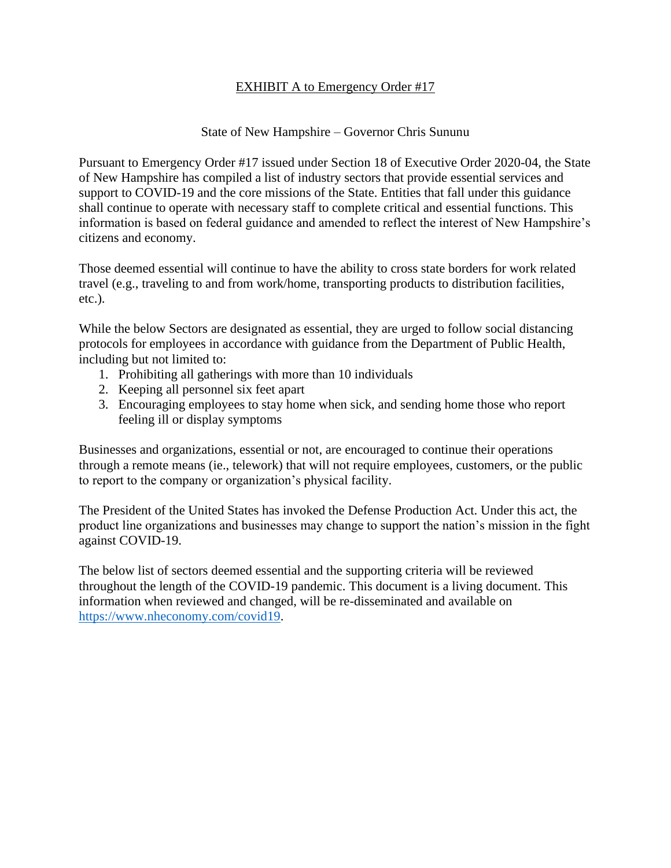## EXHIBIT A to Emergency Order #17

## State of New Hampshire – Governor Chris Sununu

Pursuant to Emergency Order #17 issued under Section 18 of Executive Order 2020-04, the State of New Hampshire has compiled a list of industry sectors that provide essential services and support to COVID-19 and the core missions of the State. Entities that fall under this guidance shall continue to operate with necessary staff to complete critical and essential functions. This information is based on federal guidance and amended to reflect the interest of New Hampshire's citizens and economy.

Those deemed essential will continue to have the ability to cross state borders for work related travel (e.g., traveling to and from work/home, transporting products to distribution facilities, etc.).

While the below Sectors are designated as essential, they are urged to follow social distancing protocols for employees in accordance with guidance from the Department of Public Health, including but not limited to:

- 1. Prohibiting all gatherings with more than 10 individuals
- 2. Keeping all personnel six feet apart
- 3. Encouraging employees to stay home when sick, and sending home those who report feeling ill or display symptoms

Businesses and organizations, essential or not, are encouraged to continue their operations through a remote means (ie., telework) that will not require employees, customers, or the public to report to the company or organization's physical facility.

The President of the United States has invoked the Defense Production Act. Under this act, the product line organizations and businesses may change to support the nation's mission in the fight against COVID-19.

The below list of sectors deemed essential and the supporting criteria will be reviewed throughout the length of the COVID-19 pandemic. This document is a living document. This information when reviewed and changed, will be re-disseminated and available on [https://www.nheconomy.com/covid19.](https://www.nheconomy.com/covid19)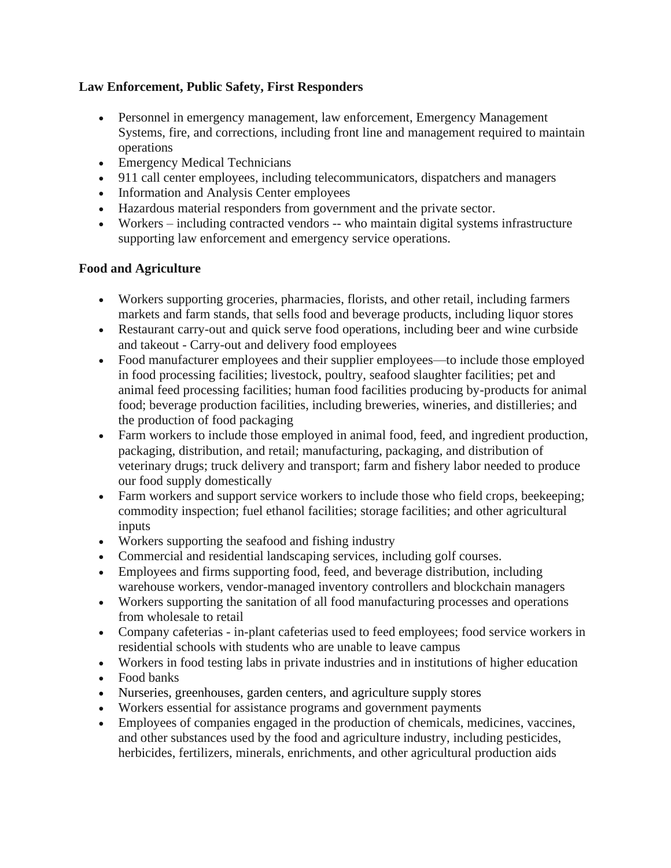# **Law Enforcement, Public Safety, First Responders**

- Personnel in emergency management, law enforcement, Emergency Management Systems, fire, and corrections, including front line and management required to maintain operations
- Emergency Medical Technicians
- 911 call center employees, including telecommunicators, dispatchers and managers
- Information and Analysis Center employees
- Hazardous material responders from government and the private sector.
- Workers including contracted vendors -- who maintain digital systems infrastructure supporting law enforcement and emergency service operations.

# **Food and Agriculture**

- Workers supporting groceries, pharmacies, florists, and other retail, including farmers markets and farm stands, that sells food and beverage products, including liquor stores
- Restaurant carry-out and quick serve food operations, including beer and wine curbside and takeout - Carry-out and delivery food employees
- Food manufacturer employees and their supplier employees—to include those employed in food processing facilities; livestock, poultry, seafood slaughter facilities; pet and animal feed processing facilities; human food facilities producing by-products for animal food; beverage production facilities, including breweries, wineries, and distilleries; and the production of food packaging
- Farm workers to include those employed in animal food, feed, and ingredient production, packaging, distribution, and retail; manufacturing, packaging, and distribution of veterinary drugs; truck delivery and transport; farm and fishery labor needed to produce our food supply domestically
- Farm workers and support service workers to include those who field crops, beekeeping; commodity inspection; fuel ethanol facilities; storage facilities; and other agricultural inputs
- Workers supporting the seafood and fishing industry
- Commercial and residential landscaping services, including golf courses.
- Employees and firms supporting food, feed, and beverage distribution, including warehouse workers, vendor-managed inventory controllers and blockchain managers
- Workers supporting the sanitation of all food manufacturing processes and operations from wholesale to retail
- Company cafeterias in-plant cafeterias used to feed employees; food service workers in residential schools with students who are unable to leave campus
- Workers in food testing labs in private industries and in institutions of higher education
- Food banks
- Nurseries, greenhouses, garden centers, and agriculture supply stores
- Workers essential for assistance programs and government payments
- Employees of companies engaged in the production of chemicals, medicines, vaccines, and other substances used by the food and agriculture industry, including pesticides, herbicides, fertilizers, minerals, enrichments, and other agricultural production aids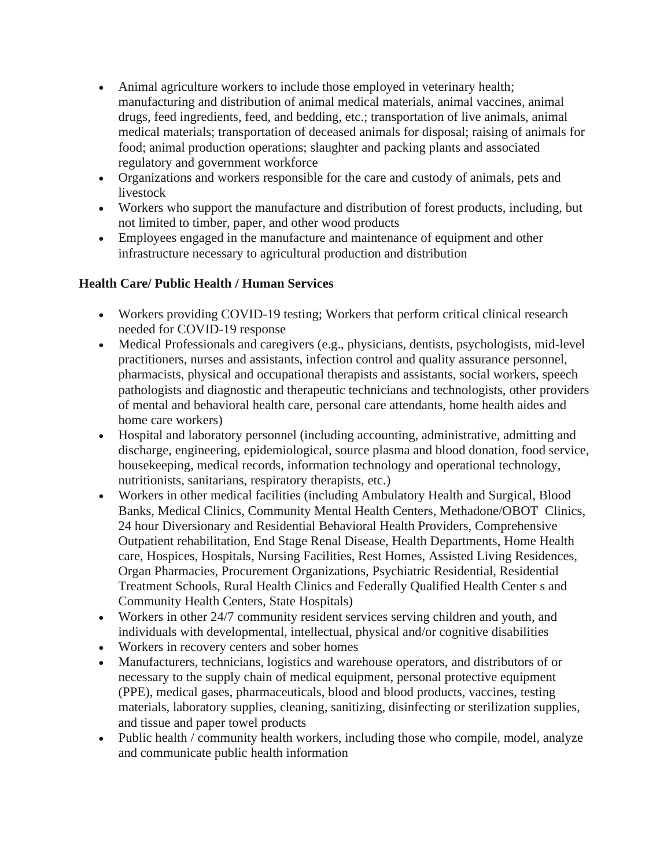- Animal agriculture workers to include those employed in veterinary health; manufacturing and distribution of animal medical materials, animal vaccines, animal drugs, feed ingredients, feed, and bedding, etc.; transportation of live animals, animal medical materials; transportation of deceased animals for disposal; raising of animals for food; animal production operations; slaughter and packing plants and associated regulatory and government workforce
- Organizations and workers responsible for the care and custody of animals, pets and livestock
- Workers who support the manufacture and distribution of forest products, including, but not limited to timber, paper, and other wood products
- Employees engaged in the manufacture and maintenance of equipment and other infrastructure necessary to agricultural production and distribution

# **Health Care/ Public Health / Human Services**

- Workers providing COVID-19 testing; Workers that perform critical clinical research needed for COVID-19 response
- Medical Professionals and caregivers (e.g., physicians, dentists, psychologists, mid-level practitioners, nurses and assistants, infection control and quality assurance personnel, pharmacists, physical and occupational therapists and assistants, social workers, speech pathologists and diagnostic and therapeutic technicians and technologists, other providers of mental and behavioral health care, personal care attendants, home health aides and home care workers)
- Hospital and laboratory personnel (including accounting, administrative, admitting and discharge, engineering, epidemiological, source plasma and blood donation, food service, housekeeping, medical records, information technology and operational technology, nutritionists, sanitarians, respiratory therapists, etc.)
- Workers in other medical facilities (including Ambulatory Health and Surgical, Blood Banks, Medical Clinics, Community Mental Health Centers, Methadone/OBOT Clinics, 24 hour Diversionary and Residential Behavioral Health Providers, Comprehensive Outpatient rehabilitation, End Stage Renal Disease, Health Departments, Home Health care, Hospices, Hospitals, Nursing Facilities, Rest Homes, Assisted Living Residences, Organ Pharmacies, Procurement Organizations, Psychiatric Residential, Residential Treatment Schools, Rural Health Clinics and Federally Qualified Health Center s and Community Health Centers, State Hospitals)
- Workers in other 24/7 community resident services serving children and youth, and individuals with developmental, intellectual, physical and/or cognitive disabilities
- Workers in recovery centers and sober homes
- Manufacturers, technicians, logistics and warehouse operators, and distributors of or necessary to the supply chain of medical equipment, personal protective equipment (PPE), medical gases, pharmaceuticals, blood and blood products, vaccines, testing materials, laboratory supplies, cleaning, sanitizing, disinfecting or sterilization supplies, and tissue and paper towel products
- Public health / community health workers, including those who compile, model, analyze and communicate public health information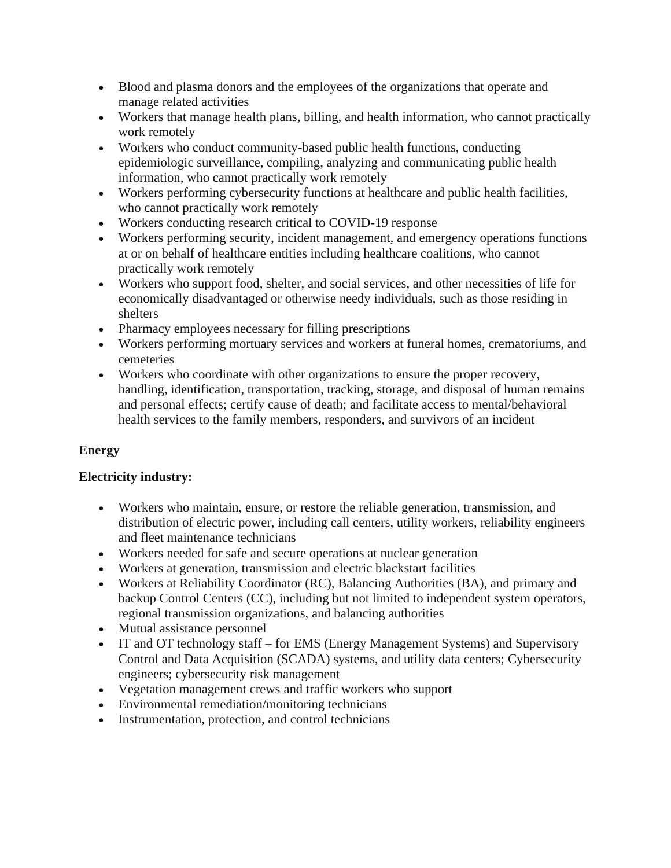- Blood and plasma donors and the employees of the organizations that operate and manage related activities
- Workers that manage health plans, billing, and health information, who cannot practically work remotely
- Workers who conduct community-based public health functions, conducting epidemiologic surveillance, compiling, analyzing and communicating public health information, who cannot practically work remotely
- Workers performing cybersecurity functions at healthcare and public health facilities, who cannot practically work remotely
- Workers conducting research critical to COVID-19 response
- Workers performing security, incident management, and emergency operations functions at or on behalf of healthcare entities including healthcare coalitions, who cannot practically work remotely
- Workers who support food, shelter, and social services, and other necessities of life for economically disadvantaged or otherwise needy individuals, such as those residing in shelters
- Pharmacy employees necessary for filling prescriptions
- Workers performing mortuary services and workers at funeral homes, crematoriums, and cemeteries
- Workers who coordinate with other organizations to ensure the proper recovery, handling, identification, transportation, tracking, storage, and disposal of human remains and personal effects; certify cause of death; and facilitate access to mental/behavioral health services to the family members, responders, and survivors of an incident

# **Energy**

# **Electricity industry:**

- Workers who maintain, ensure, or restore the reliable generation, transmission, and distribution of electric power, including call centers, utility workers, reliability engineers and fleet maintenance technicians
- Workers needed for safe and secure operations at nuclear generation
- Workers at generation, transmission and electric blackstart facilities
- Workers at Reliability Coordinator (RC), Balancing Authorities (BA), and primary and backup Control Centers (CC), including but not limited to independent system operators, regional transmission organizations, and balancing authorities
- Mutual assistance personnel
- IT and OT technology staff for EMS (Energy Management Systems) and Supervisory Control and Data Acquisition (SCADA) systems, and utility data centers; Cybersecurity engineers; cybersecurity risk management
- Vegetation management crews and traffic workers who support
- Environmental remediation/monitoring technicians
- Instrumentation, protection, and control technicians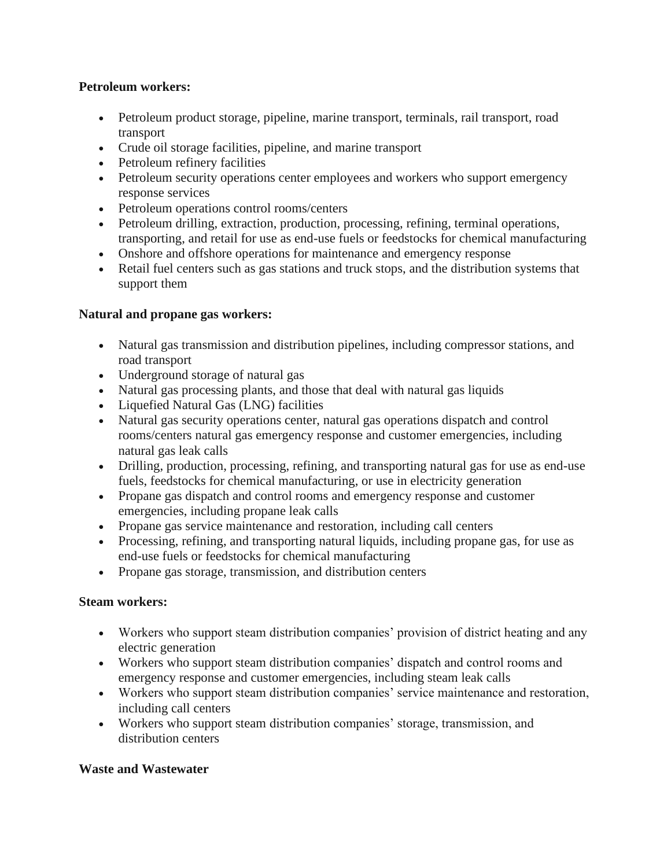## **Petroleum workers:**

- Petroleum product storage, pipeline, marine transport, terminals, rail transport, road transport
- Crude oil storage facilities, pipeline, and marine transport
- Petroleum refinery facilities
- Petroleum security operations center employees and workers who support emergency response services
- Petroleum operations control rooms/centers
- Petroleum drilling, extraction, production, processing, refining, terminal operations, transporting, and retail for use as end-use fuels or feedstocks for chemical manufacturing
- Onshore and offshore operations for maintenance and emergency response
- Retail fuel centers such as gas stations and truck stops, and the distribution systems that support them

# **Natural and propane gas workers:**

- Natural gas transmission and distribution pipelines, including compressor stations, and road transport
- Underground storage of natural gas
- Natural gas processing plants, and those that deal with natural gas liquids
- Liquefied Natural Gas (LNG) facilities
- Natural gas security operations center, natural gas operations dispatch and control rooms/centers natural gas emergency response and customer emergencies, including natural gas leak calls
- Drilling, production, processing, refining, and transporting natural gas for use as end-use fuels, feedstocks for chemical manufacturing, or use in electricity generation
- Propane gas dispatch and control rooms and emergency response and customer emergencies, including propane leak calls
- Propane gas service maintenance and restoration, including call centers
- Processing, refining, and transporting natural liquids, including propane gas, for use as end-use fuels or feedstocks for chemical manufacturing
- Propane gas storage, transmission, and distribution centers

## **Steam workers:**

- Workers who support steam distribution companies' provision of district heating and any electric generation
- Workers who support steam distribution companies' dispatch and control rooms and emergency response and customer emergencies, including steam leak calls
- Workers who support steam distribution companies' service maintenance and restoration, including call centers
- Workers who support steam distribution companies' storage, transmission, and distribution centers

# **Waste and Wastewater**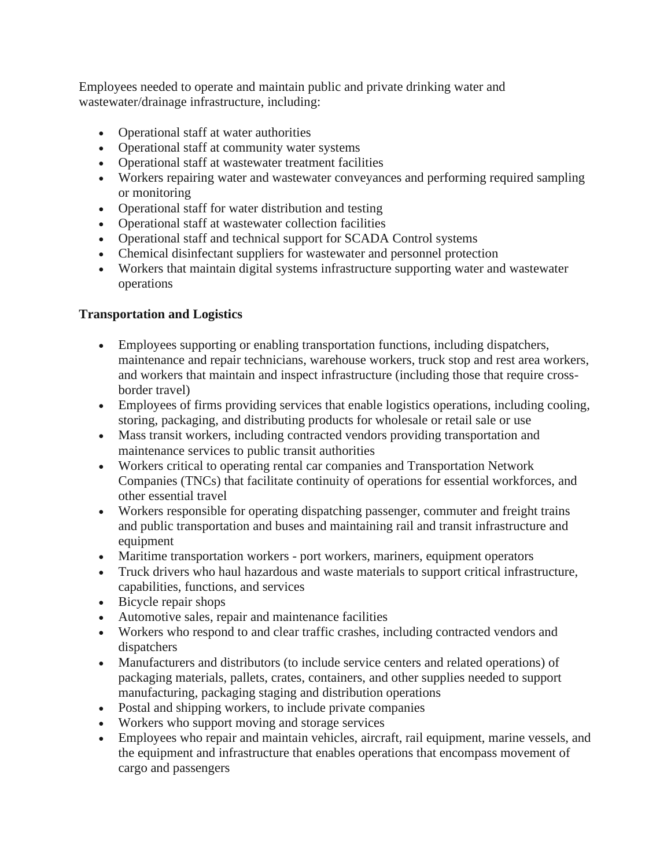Employees needed to operate and maintain public and private drinking water and wastewater/drainage infrastructure, including:

- Operational staff at water authorities
- Operational staff at community water systems
- Operational staff at wastewater treatment facilities
- Workers repairing water and wastewater conveyances and performing required sampling or monitoring
- Operational staff for water distribution and testing
- Operational staff at wastewater collection facilities
- Operational staff and technical support for SCADA Control systems
- Chemical disinfectant suppliers for wastewater and personnel protection
- Workers that maintain digital systems infrastructure supporting water and wastewater operations

## **Transportation and Logistics**

- Employees supporting or enabling transportation functions, including dispatchers, maintenance and repair technicians, warehouse workers, truck stop and rest area workers, and workers that maintain and inspect infrastructure (including those that require crossborder travel)
- Employees of firms providing services that enable logistics operations, including cooling, storing, packaging, and distributing products for wholesale or retail sale or use
- Mass transit workers, including contracted vendors providing transportation and maintenance services to public transit authorities
- Workers critical to operating rental car companies and Transportation Network Companies (TNCs) that facilitate continuity of operations for essential workforces, and other essential travel
- Workers responsible for operating dispatching passenger, commuter and freight trains and public transportation and buses and maintaining rail and transit infrastructure and equipment
- Maritime transportation workers port workers, mariners, equipment operators
- Truck drivers who haul hazardous and waste materials to support critical infrastructure, capabilities, functions, and services
- Bicycle repair shops
- Automotive sales, repair and maintenance facilities
- Workers who respond to and clear traffic crashes, including contracted vendors and dispatchers
- Manufacturers and distributors (to include service centers and related operations) of packaging materials, pallets, crates, containers, and other supplies needed to support manufacturing, packaging staging and distribution operations
- Postal and shipping workers, to include private companies
- Workers who support moving and storage services
- Employees who repair and maintain vehicles, aircraft, rail equipment, marine vessels, and the equipment and infrastructure that enables operations that encompass movement of cargo and passengers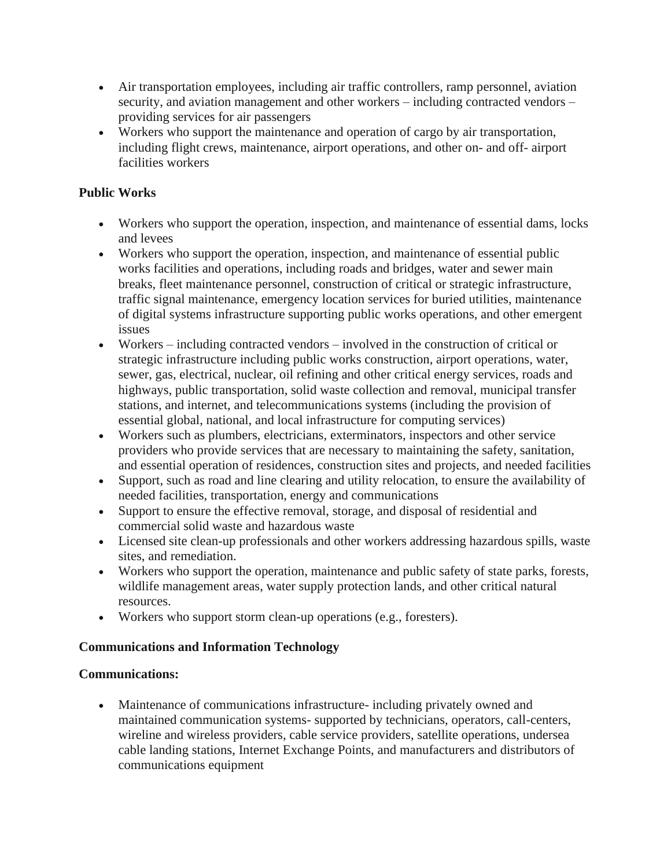- Air transportation employees, including air traffic controllers, ramp personnel, aviation security, and aviation management and other workers – including contracted vendors – providing services for air passengers
- Workers who support the maintenance and operation of cargo by air transportation, including flight crews, maintenance, airport operations, and other on- and off- airport facilities workers

# **Public Works**

- Workers who support the operation, inspection, and maintenance of essential dams, locks and levees
- Workers who support the operation, inspection, and maintenance of essential public works facilities and operations, including roads and bridges, water and sewer main breaks, fleet maintenance personnel, construction of critical or strategic infrastructure, traffic signal maintenance, emergency location services for buried utilities, maintenance of digital systems infrastructure supporting public works operations, and other emergent issues
- Workers including contracted vendors involved in the construction of critical or strategic infrastructure including public works construction, airport operations, water, sewer, gas, electrical, nuclear, oil refining and other critical energy services, roads and highways, public transportation, solid waste collection and removal, municipal transfer stations, and internet, and telecommunications systems (including the provision of essential global, national, and local infrastructure for computing services)
- Workers such as plumbers, electricians, exterminators, inspectors and other service providers who provide services that are necessary to maintaining the safety, sanitation, and essential operation of residences, construction sites and projects, and needed facilities
- Support, such as road and line clearing and utility relocation, to ensure the availability of needed facilities, transportation, energy and communications
- Support to ensure the effective removal, storage, and disposal of residential and commercial solid waste and hazardous waste
- Licensed site clean-up professionals and other workers addressing hazardous spills, waste sites, and remediation.
- Workers who support the operation, maintenance and public safety of state parks, forests, wildlife management areas, water supply protection lands, and other critical natural resources.
- Workers who support storm clean-up operations (e.g., foresters).

## **Communications and Information Technology**

## **Communications:**

• Maintenance of communications infrastructure- including privately owned and maintained communication systems- supported by technicians, operators, call-centers, wireline and wireless providers, cable service providers, satellite operations, undersea cable landing stations, Internet Exchange Points, and manufacturers and distributors of communications equipment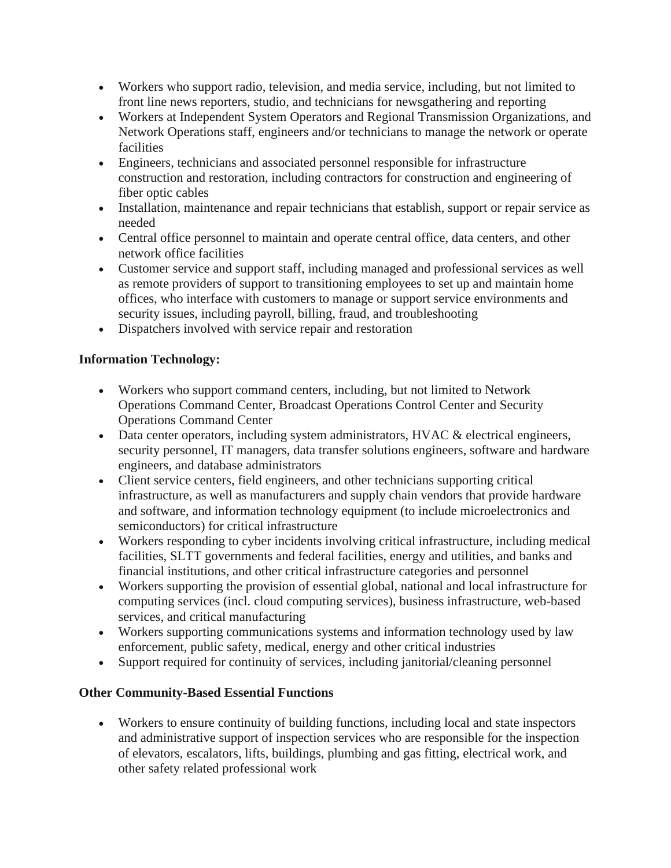- Workers who support radio, television, and media service, including, but not limited to front line news reporters, studio, and technicians for newsgathering and reporting
- Workers at Independent System Operators and Regional Transmission Organizations, and Network Operations staff, engineers and/or technicians to manage the network or operate facilities
- Engineers, technicians and associated personnel responsible for infrastructure construction and restoration, including contractors for construction and engineering of fiber optic cables
- Installation, maintenance and repair technicians that establish, support or repair service as needed
- Central office personnel to maintain and operate central office, data centers, and other network office facilities
- Customer service and support staff, including managed and professional services as well as remote providers of support to transitioning employees to set up and maintain home offices, who interface with customers to manage or support service environments and security issues, including payroll, billing, fraud, and troubleshooting
- Dispatchers involved with service repair and restoration

# **Information Technology:**

- Workers who support command centers, including, but not limited to Network Operations Command Center, Broadcast Operations Control Center and Security Operations Command Center
- Data center operators, including system administrators, HVAC & electrical engineers, security personnel, IT managers, data transfer solutions engineers, software and hardware engineers, and database administrators
- Client service centers, field engineers, and other technicians supporting critical infrastructure, as well as manufacturers and supply chain vendors that provide hardware and software, and information technology equipment (to include microelectronics and semiconductors) for critical infrastructure
- Workers responding to cyber incidents involving critical infrastructure, including medical facilities, SLTT governments and federal facilities, energy and utilities, and banks and financial institutions, and other critical infrastructure categories and personnel
- Workers supporting the provision of essential global, national and local infrastructure for computing services (incl. cloud computing services), business infrastructure, web-based services, and critical manufacturing
- Workers supporting communications systems and information technology used by law enforcement, public safety, medical, energy and other critical industries
- Support required for continuity of services, including janitorial/cleaning personnel

# **Other Community-Based Essential Functions**

• Workers to ensure continuity of building functions, including local and state inspectors and administrative support of inspection services who are responsible for the inspection of elevators, escalators, lifts, buildings, plumbing and gas fitting, electrical work, and other safety related professional work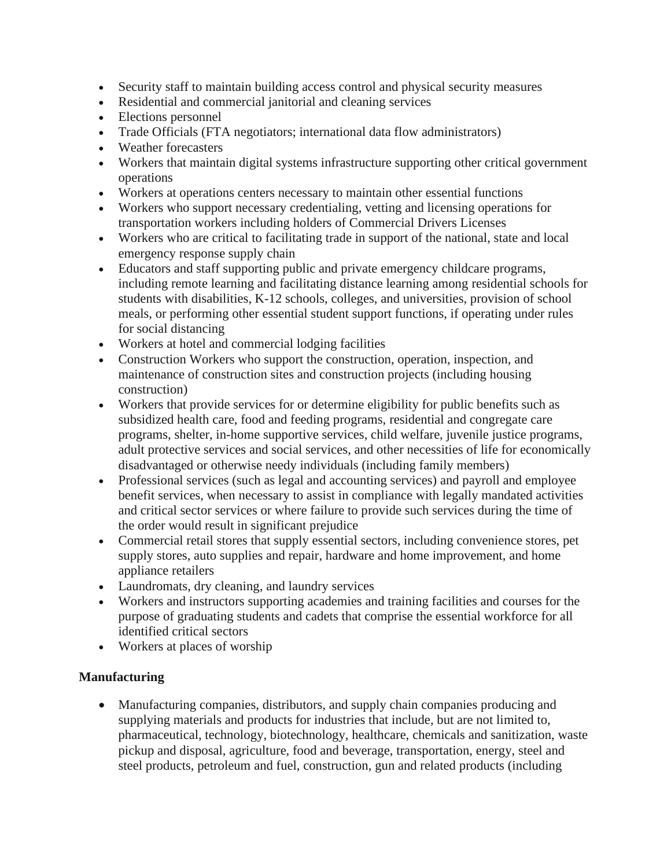- Security staff to maintain building access control and physical security measures
- Residential and commercial janitorial and cleaning services
- Elections personnel
- Trade Officials (FTA negotiators; international data flow administrators)
- Weather forecasters
- Workers that maintain digital systems infrastructure supporting other critical government operations
- Workers at operations centers necessary to maintain other essential functions
- Workers who support necessary credentialing, vetting and licensing operations for transportation workers including holders of Commercial Drivers Licenses
- Workers who are critical to facilitating trade in support of the national, state and local emergency response supply chain
- Educators and staff supporting public and private emergency childcare programs, including remote learning and facilitating distance learning among residential schools for students with disabilities, K-12 schools, colleges, and universities, provision of school meals, or performing other essential student support functions, if operating under rules for social distancing
- Workers at hotel and commercial lodging facilities
- Construction Workers who support the construction, operation, inspection, and maintenance of construction sites and construction projects (including housing construction)
- Workers that provide services for or determine eligibility for public benefits such as subsidized health care, food and feeding programs, residential and congregate care programs, shelter, in-home supportive services, child welfare, juvenile justice programs, adult protective services and social services, and other necessities of life for economically disadvantaged or otherwise needy individuals (including family members)
- Professional services (such as legal and accounting services) and payroll and employee benefit services, when necessary to assist in compliance with legally mandated activities and critical sector services or where failure to provide such services during the time of the order would result in significant prejudice
- Commercial retail stores that supply essential sectors, including convenience stores, pet supply stores, auto supplies and repair, hardware and home improvement, and home appliance retailers
- Laundromats, dry cleaning, and laundry services
- Workers and instructors supporting academies and training facilities and courses for the purpose of graduating students and cadets that comprise the essential workforce for all identified critical sectors
- Workers at places of worship

#### **Manufacturing**

• Manufacturing companies, distributors, and supply chain companies producing and supplying materials and products for industries that include, but are not limited to, pharmaceutical, technology, biotechnology, healthcare, chemicals and sanitization, waste pickup and disposal, agriculture, food and beverage, transportation, energy, steel and steel products, petroleum and fuel, construction, gun and related products (including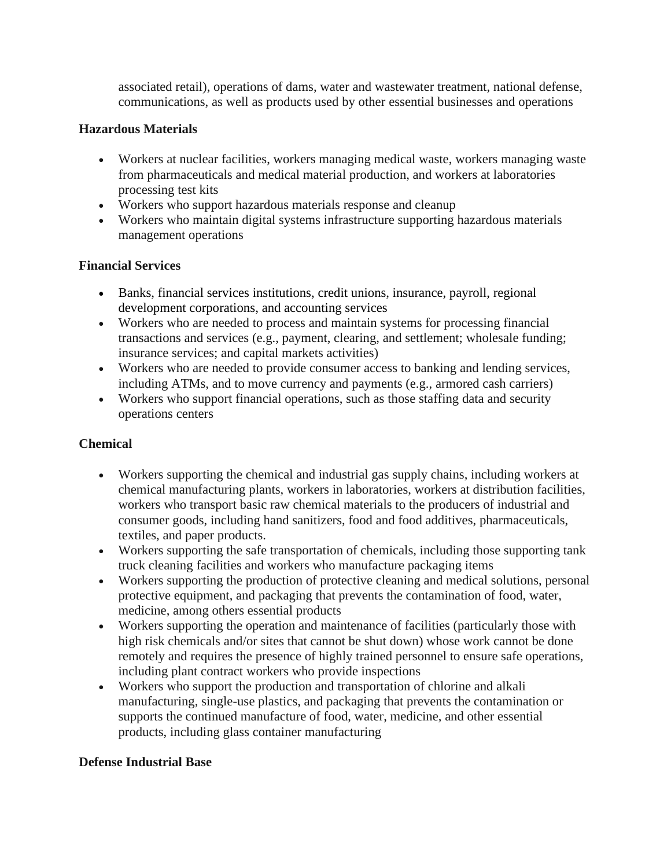associated retail), operations of dams, water and wastewater treatment, national defense, communications, as well as products used by other essential businesses and operations

## **Hazardous Materials**

- Workers at nuclear facilities, workers managing medical waste, workers managing waste from pharmaceuticals and medical material production, and workers at laboratories processing test kits
- Workers who support hazardous materials response and cleanup
- Workers who maintain digital systems infrastructure supporting hazardous materials management operations

## **Financial Services**

- Banks, financial services institutions, credit unions, insurance, payroll, regional development corporations, and accounting services
- Workers who are needed to process and maintain systems for processing financial transactions and services (e.g., payment, clearing, and settlement; wholesale funding; insurance services; and capital markets activities)
- Workers who are needed to provide consumer access to banking and lending services, including ATMs, and to move currency and payments (e.g., armored cash carriers)
- Workers who support financial operations, such as those staffing data and security operations centers

# **Chemical**

- Workers supporting the chemical and industrial gas supply chains, including workers at chemical manufacturing plants, workers in laboratories, workers at distribution facilities, workers who transport basic raw chemical materials to the producers of industrial and consumer goods, including hand sanitizers, food and food additives, pharmaceuticals, textiles, and paper products.
- Workers supporting the safe transportation of chemicals, including those supporting tank truck cleaning facilities and workers who manufacture packaging items
- Workers supporting the production of protective cleaning and medical solutions, personal protective equipment, and packaging that prevents the contamination of food, water, medicine, among others essential products
- Workers supporting the operation and maintenance of facilities (particularly those with high risk chemicals and/or sites that cannot be shut down) whose work cannot be done remotely and requires the presence of highly trained personnel to ensure safe operations, including plant contract workers who provide inspections
- Workers who support the production and transportation of chlorine and alkali manufacturing, single-use plastics, and packaging that prevents the contamination or supports the continued manufacture of food, water, medicine, and other essential products, including glass container manufacturing

## **Defense Industrial Base**